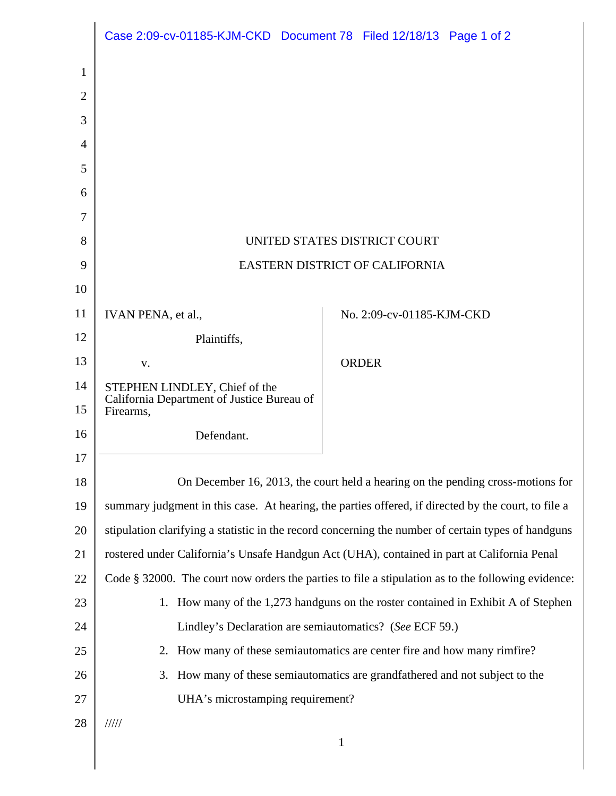|                | Case 2:09-cv-01185-KJM-CKD Document 78 Filed 12/18/13 Page 1 of 2                                   |                           |  |
|----------------|-----------------------------------------------------------------------------------------------------|---------------------------|--|
| 1              |                                                                                                     |                           |  |
| $\overline{2}$ |                                                                                                     |                           |  |
| 3              |                                                                                                     |                           |  |
| $\overline{4}$ |                                                                                                     |                           |  |
| 5              |                                                                                                     |                           |  |
| 6              |                                                                                                     |                           |  |
| 7              |                                                                                                     |                           |  |
| 8              | UNITED STATES DISTRICT COURT                                                                        |                           |  |
| 9              | EASTERN DISTRICT OF CALIFORNIA                                                                      |                           |  |
| 10             |                                                                                                     |                           |  |
| 11             | IVAN PENA, et al.,                                                                                  | No. 2:09-cv-01185-KJM-CKD |  |
| 12             | Plaintiffs,                                                                                         |                           |  |
| 13             | V.                                                                                                  | <b>ORDER</b>              |  |
| 14<br>15       | STEPHEN LINDLEY, Chief of the<br>California Department of Justice Bureau of<br>Firearms,            |                           |  |
| 16             | Defendant.                                                                                          |                           |  |
| 17             |                                                                                                     |                           |  |
| 18             | On December 16, 2013, the court held a hearing on the pending cross-motions for                     |                           |  |
| 19             | summary judgment in this case. At hearing, the parties offered, if directed by the court, to file a |                           |  |
| 20             | stipulation clarifying a statistic in the record concerning the number of certain types of handguns |                           |  |
| 21             | rostered under California's Unsafe Handgun Act (UHA), contained in part at California Penal         |                           |  |
| 22             | Code § 32000. The court now orders the parties to file a stipulation as to the following evidence:  |                           |  |
| 23             | 1. How many of the 1,273 handguns on the roster contained in Exhibit A of Stephen                   |                           |  |
| 24             | Lindley's Declaration are semiautomatics? (See ECF 59.)                                             |                           |  |
| 25             | 2. How many of these semiautomatics are center fire and how many rimfire?                           |                           |  |
| 26             | How many of these semiautomatics are grandfathered and not subject to the<br>3.                     |                           |  |
| 27             | UHA's microstamping requirement?                                                                    |                           |  |
| 28             | 11111                                                                                               |                           |  |
|                | $\mathbf{1}$                                                                                        |                           |  |
|                |                                                                                                     |                           |  |